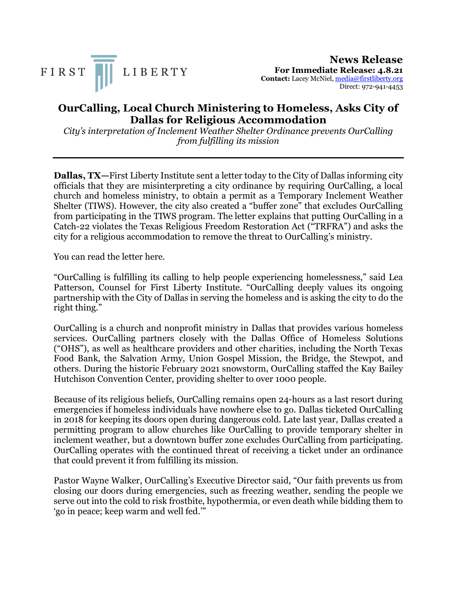



## **OurCalling, Local Church Ministering to Homeless, Asks City of Dallas for Religious Accommodation**

*City's interpretation of Inclement Weather Shelter Ordinance prevents OurCalling from fulfilling its mission*

**Dallas, TX—**First Liberty Institute sent a letter today to the City of Dallas informing city officials that they are misinterpreting a city ordinance by requiring OurCalling, a local church and homeless ministry, to obtain a permit as a Temporary Inclement Weather Shelter (TIWS). However, the city also created a "buffer zone" that excludes OurCalling from participating in the TIWS program. The letter explains that putting OurCalling in a Catch-22 violates the Texas Religious Freedom Restoration Act ("TRFRA") and asks the city for a religious accommodation to remove the threat to OurCalling's ministry.

You can read the letter here.

"OurCalling is fulfilling its calling to help people experiencing homelessness," said Lea Patterson, Counsel for First Liberty Institute. "OurCalling deeply values its ongoing partnership with the City of Dallas in serving the homeless and is asking the city to do the right thing."

OurCalling is a church and nonprofit ministry in Dallas that provides various homeless services. OurCalling partners closely with the Dallas Office of Homeless Solutions ("OHS"), as well as healthcare providers and other charities, including the North Texas Food Bank, the Salvation Army, Union Gospel Mission, the Bridge, the Stewpot, and others. During the historic February 2021 snowstorm, OurCalling staffed the Kay Bailey Hutchison Convention Center, providing shelter to over 1000 people.

Because of its religious beliefs, OurCalling remains open 24-hours as a last resort during emergencies if homeless individuals have nowhere else to go. Dallas ticketed OurCalling in 2018 for keeping its doors open during dangerous cold. Late last year, Dallas created a permitting program to allow churches like OurCalling to provide temporary shelter in inclement weather, but a downtown buffer zone excludes OurCalling from participating. OurCalling operates with the continued threat of receiving a ticket under an ordinance that could prevent it from fulfilling its mission.

Pastor Wayne Walker, OurCalling's Executive Director said, "Our faith prevents us from closing our doors during emergencies, such as freezing weather, sending the people we serve out into the cold to risk frostbite, hypothermia, or even death while bidding them to 'go in peace; keep warm and well fed.'"